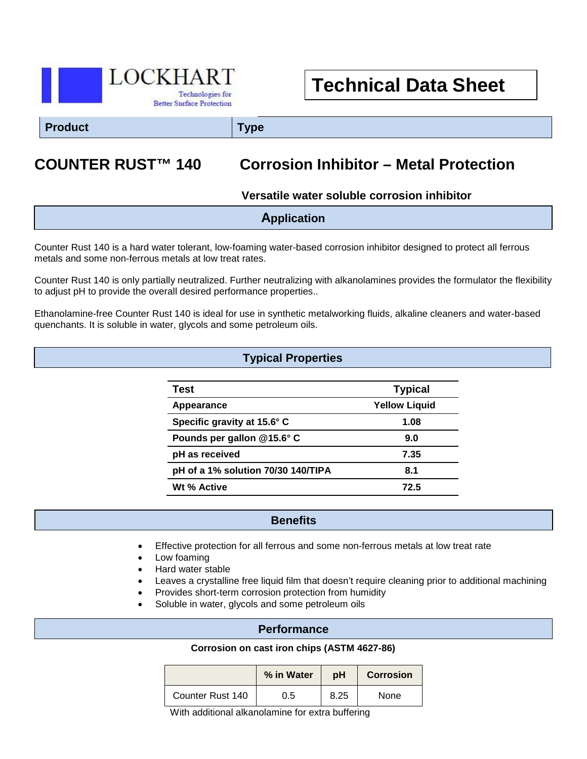

# **Technical Data Sheet**

**Product Type**

# **COUNTER RUST™ 140 Corrosion Inhibitor – Metal Protection**

#### **Versatile water soluble corrosion inhibitor**

| <b>Application</b> |
|--------------------|
|                    |

Counter Rust 140 is a hard water tolerant, low-foaming water-based corrosion inhibitor designed to protect all ferrous metals and some non-ferrous metals at low treat rates.

Counter Rust 140 is only partially neutralized. Further neutralizing with alkanolamines provides the formulator the flexibility to adjust pH to provide the overall desired performance properties..

Ethanolamine-free Counter Rust 140 is ideal for use in synthetic metalworking fluids, alkaline cleaners and water-based quenchants. It is soluble in water, glycols and some petroleum oils.

## **Typical Properties**

| Test                               | <b>Typical</b>       |  |
|------------------------------------|----------------------|--|
| Appearance                         | <b>Yellow Liquid</b> |  |
| Specific gravity at 15.6° C        | 1.08                 |  |
| Pounds per gallon @15.6° C         | 9.0                  |  |
| pH as received                     | 7.35                 |  |
| pH of a 1% solution 70/30 140/TIPA | 8.1                  |  |
| Wt % Active                        | 72.5                 |  |

#### **Benefits**

- Effective protection for all ferrous and some non-ferrous metals at low treat rate
- Low foaming
- Hard water stable
- Leaves a crystalline free liquid film that doesn't require cleaning prior to additional machining
- Provides short-term corrosion protection from humidity
- Soluble in water, glycols and some petroleum oils

Ī

#### **Performance**

#### **Corrosion on cast iron chips (ASTM 4627-86)**

|                  | % in Water | рH   | <b>Corrosion</b> |
|------------------|------------|------|------------------|
| Counter Rust 140 | 0.5        | 8.25 | None             |

With additional alkanolamine for extra buffering